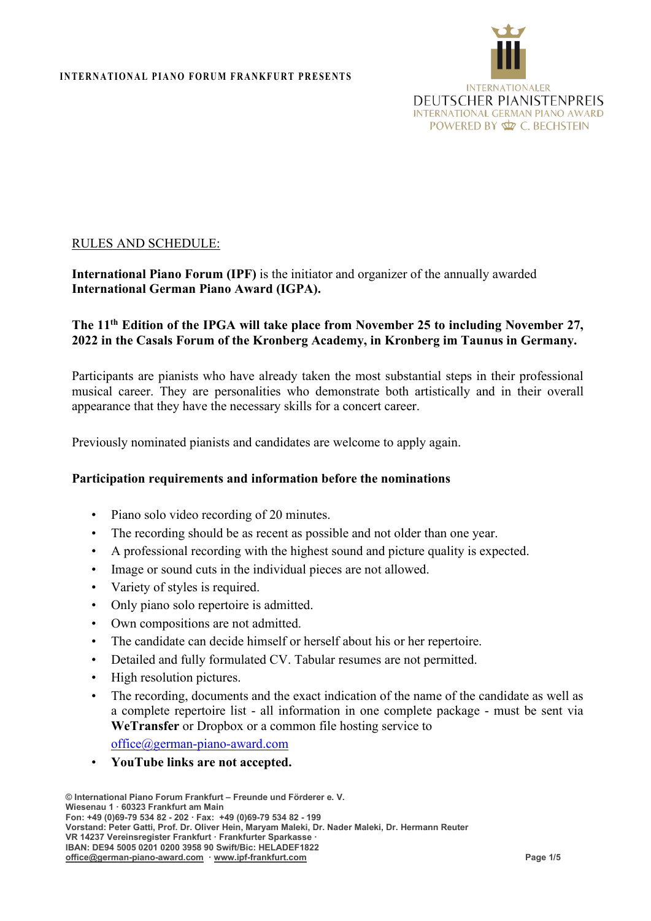

## RULES AND SCHEDULE:

# **International Piano Forum (IPF)** is the initiator and organizer of the annually awarded **International German Piano Award (IGPA).**

# **The 11th Edition of the IPGA will take place from November 25 to including November 27, 2022 in the Casals Forum of the Kronberg Academy, in Kronberg im Taunus in Germany.**

Participants are pianists who have already taken the most substantial steps in their professional musical career. They are personalities who demonstrate both artistically and in their overall appearance that they have the necessary skills for a concert career.

Previously nominated pianists and candidates are welcome to apply again.

### **Participation requirements and information before the nominations**

- Piano solo video recording of 20 minutes.
- The recording should be as recent as possible and not older than one year.
- A professional recording with the highest sound and picture quality is expected.
- Image or sound cuts in the individual pieces are not allowed.
- Variety of styles is required.
- Only piano solo repertoire is admitted.
- Own compositions are not admitted.
- The candidate can decide himself or herself about his or her repertoire.
- Detailed and fully formulated CV. Tabular resumes are not permitted.
- High resolution pictures.
- The recording, documents and the exact indication of the name of the candidate as well as a complete repertoire list - all information in one complete package - must be sent via **WeTransfer** or Dropbox or a common file hosting service to

[office@german-piano-award.com](mailto:office@german-piano-award.com)

• **YouTube links are not accepted.**

**<sup>©</sup> International Piano Forum Frankfurt – Freunde und Förderer e. V. Wiesenau 1 · 60323 Frankfurt am Main Fon: +49 (0)69-79 534 82 - 202 · Fax: +49 (0)69-79 534 82 - 199 Vorstand: Peter Gatti, Prof. Dr. Oliver Hein, Maryam Maleki, Dr. Nader Maleki, Dr. Hermann Reuter VR 14237 Vereinsregister Frankfurt · Frankfurter Sparkasse · IBAN: DE94 5005 0201 0200 3958 90 Swift/Bic: HELADEF1822 [office@german-piano-award.com](mailto:info@ipf-frankfurt.com) · [www.ipf-frankfurt.com](http://www.ipf-frankfurt.com/) Page 1/5**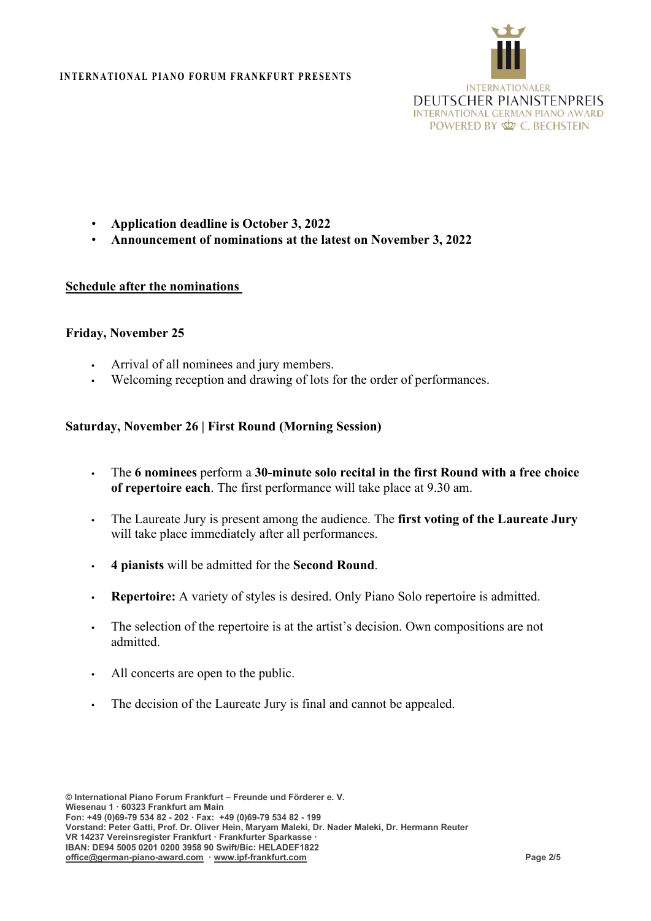

- **Application deadline is October 3, 2022**
- **Announcement of nominations at the latest on November 3, 2022**

### **Schedule after the nominations**

### **Friday, November 25**

- **•** Arrival of all nominees and jury members.
- **•** Welcoming reception and drawing of lots for the order of performances.

### **Saturday, November 26 | First Round (Morning Session)**

- **•** The **6 nominees** perform a **30-minute solo recital in the first Round with a free choice of repertoire each**. The first performance will take place at 9.30 am.
- **•** The Laureate Jury is present among the audience. The **first voting of the Laureate Jury** will take place immediately after all performances.
- **• 4 pianists** will be admitted for the **Second Round**.
- **• Repertoire:** A variety of styles is desired. Only Piano Solo repertoire is admitted.
- **•** The selection of the repertoire is at the artist's decision. Own compositions are not admitted.
- **•** All concerts are open to the public.
- **•** The decision of the Laureate Jury is final and cannot be appealed.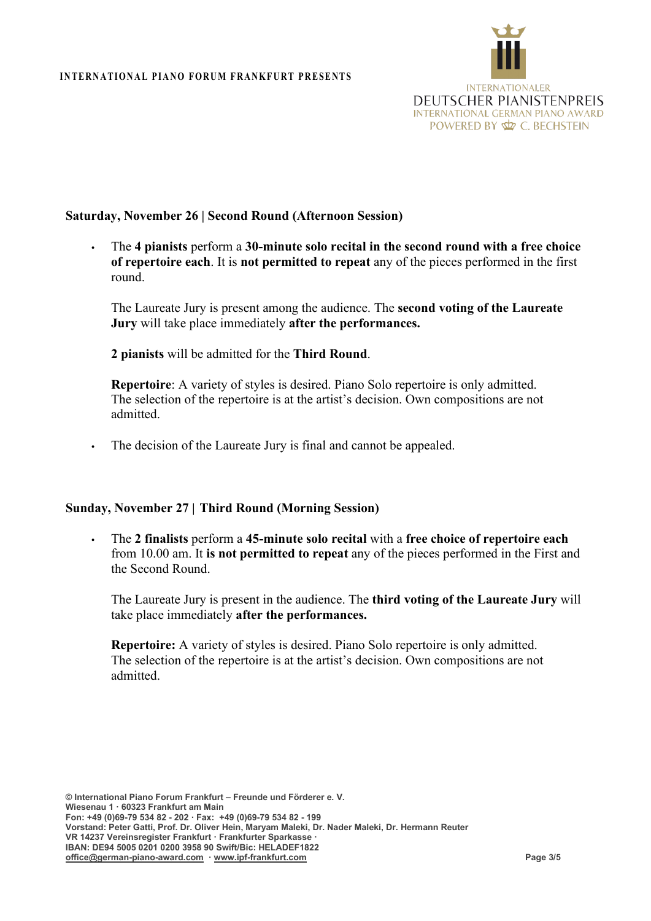

## **Saturday, November 26 | Second Round (Afternoon Session)**

**•** The **4 pianists** perform a **30-minute solo recital in the second round with a free choice of repertoire each**. It is **not permitted to repeat** any of the pieces performed in the first round.

The Laureate Jury is present among the audience. The **second voting of the Laureate Jury** will take place immediately **after the performances.**

**2 pianists** will be admitted for the **Third Round**.

**Repertoire**: A variety of styles is desired. Piano Solo repertoire is only admitted. The selection of the repertoire is at the artist's decision. Own compositions are not admitted.

**•** The decision of the Laureate Jury is final and cannot be appealed.

## **Sunday, November 27 | Third Round (Morning Session)**

**•** The **2 finalists** perform a **45-minute solo recital** with a **free choice of repertoire each**  from 10.00 am. It **is not permitted to repeat** any of the pieces performed in the First and the Second Round.

The Laureate Jury is present in the audience. The **third voting of the Laureate Jury** will take place immediately **after the performances.**

**Repertoire:** A variety of styles is desired. Piano Solo repertoire is only admitted. The selection of the repertoire is at the artist's decision. Own compositions are not admitted.

**© International Piano Forum Frankfurt – Freunde und Förderer e. V. Wiesenau 1 · 60323 Frankfurt am Main Fon: +49 (0)69-79 534 82 - 202 · Fax: +49 (0)69-79 534 82 - 199 Vorstand: Peter Gatti, Prof. Dr. Oliver Hein, Maryam Maleki, Dr. Nader Maleki, Dr. Hermann Reuter VR 14237 Vereinsregister Frankfurt · Frankfurter Sparkasse · IBAN: DE94 5005 0201 0200 3958 90 Swift/Bic: HELADEF1822 [office@german-piano-award.com](mailto:info@ipf-frankfurt.com) · [www.ipf-frankfurt.com](http://www.ipf-frankfurt.com/) Page 3/5**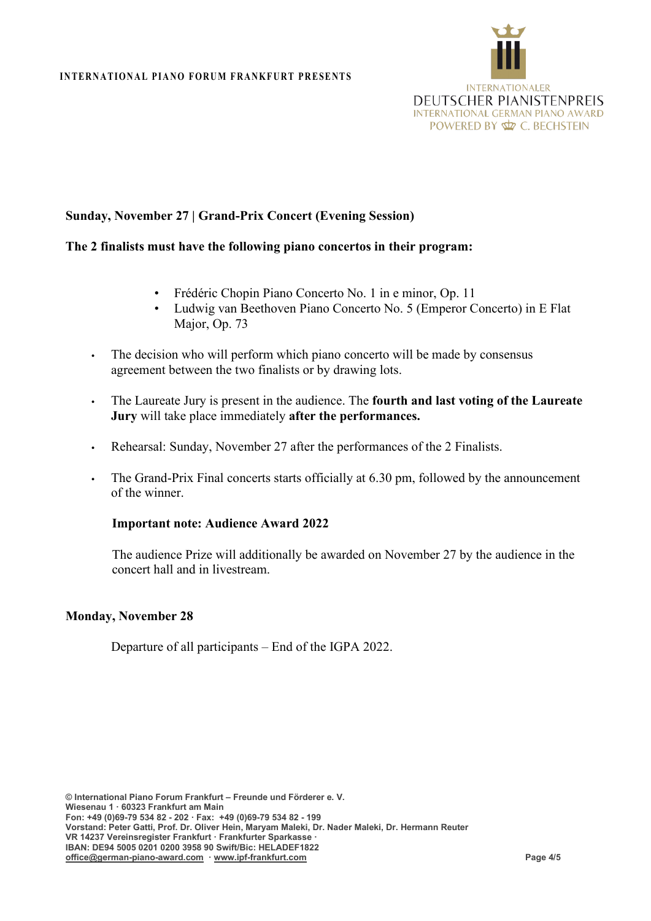

# **Sunday, November 27 | Grand-Prix Concert (Evening Session)**

### **The 2 finalists must have the following piano concertos in their program:**

- Frédéric Chopin Piano Concerto No. 1 in e minor, Op. 11
- Ludwig van Beethoven Piano Concerto No. 5 (Emperor Concerto) in E Flat Major, Op. 73
- **•** The decision who will perform which piano concerto will be made by consensus agreement between the two finalists or by drawing lots.
- **•** The Laureate Jury is present in the audience. The **fourth and last voting of the Laureate Jury** will take place immediately **after the performances.**
- **•** Rehearsal: Sunday, November 27 after the performances of the 2 Finalists.
- **•** The Grand-Prix Final concerts starts officially at 6.30 pm, followed by the announcement of the winner.

### **Important note: Audience Award 2022**

The audience Prize will additionally be awarded on November 27 by the audience in the concert hall and in livestream.

### **Monday, November 28**

Departure of all participants – End of the IGPA 2022.

**© International Piano Forum Frankfurt – Freunde und Förderer e. V. Wiesenau 1 · 60323 Frankfurt am Main Fon: +49 (0)69-79 534 82 - 202 · Fax: +49 (0)69-79 534 82 - 199 Vorstand: Peter Gatti, Prof. Dr. Oliver Hein, Maryam Maleki, Dr. Nader Maleki, Dr. Hermann Reuter VR 14237 Vereinsregister Frankfurt · Frankfurter Sparkasse · IBAN: DE94 5005 0201 0200 3958 90 Swift/Bic: HELADEF1822 [office@german-piano-award.com](mailto:info@ipf-frankfurt.com) · [www.ipf-frankfurt.com](http://www.ipf-frankfurt.com/) Page 4/5**